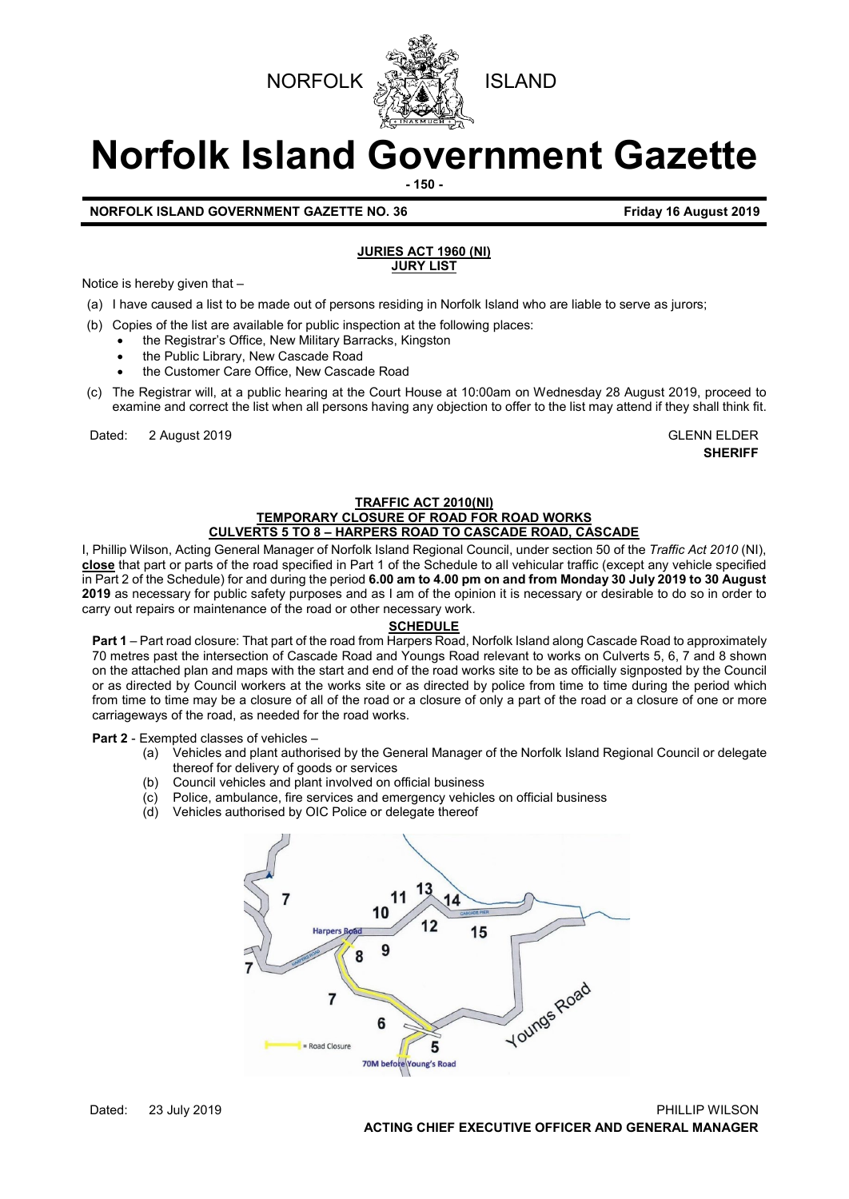



# **Norfolk Island Government Gazette**

**- 150 -**

# **NORFOLK ISLAND GOVERNMENT GAZETTE NO. 36 Friday 16 August 2019**

# **JURIES ACT 1960 (NI) JURY LIST**

Notice is hereby given that –

- (a) I have caused a list to be made out of persons residing in Norfolk Island who are liable to serve as jurors;
- (b) Copies of the list are available for public inspection at the following places:
	- the Registrar's Office, New Military Barracks, Kingston
		- the Public Library, New Cascade Road
	- the Customer Care Office, New Cascade Road
- (c) The Registrar will, at a public hearing at the Court House at 10:00am on Wednesday 28 August 2019, proceed to examine and correct the list when all persons having any objection to offer to the list may attend if they shall think fit.

Dated: 2 August 2019 GLENN ELDER

**SHERIFF**

## **TRAFFIC ACT 2010(NI) TEMPORARY CLOSURE OF ROAD FOR ROAD WORKS CULVERTS 5 TO 8 – HARPERS ROAD TO CASCADE ROAD, CASCADE**

I, Phillip Wilson, Acting General Manager of Norfolk Island Regional Council, under section 50 of the *Traffic Act 2010* (NI), **close** that part or parts of the road specified in Part 1 of the Schedule to all vehicular traffic (except any vehicle specified in Part 2 of the Schedule) for and during the period **6.00 am to 4.00 pm on and from Monday 30 July 2019 to 30 August 2019** as necessary for public safety purposes and as I am of the opinion it is necessary or desirable to do so in order to carry out repairs or maintenance of the road or other necessary work.

## **SCHEDULE**

**Part 1** – Part road closure: That part of the road from Harpers Road, Norfolk Island along Cascade Road to approximately 70 metres past the intersection of Cascade Road and Youngs Road relevant to works on Culverts 5, 6, 7 and 8 shown on the attached plan and maps with the start and end of the road works site to be as officially signposted by the Council or as directed by Council workers at the works site or as directed by police from time to time during the period which from time to time may be a closure of all of the road or a closure of only a part of the road or a closure of one or more carriageways of the road, as needed for the road works.

**Part 2** - Exempted classes of vehicles –<br>(a) Vehicles and plant authori

- Vehicles and plant authorised by the General Manager of the Norfolk Island Regional Council or delegate thereof for delivery of goods or services
- (b) Council vehicles and plant involved on official business
- (c) Police, ambulance, fire services and emergency vehicles on official business
- (d) Vehicles authorised by OIC Police or delegate thereof

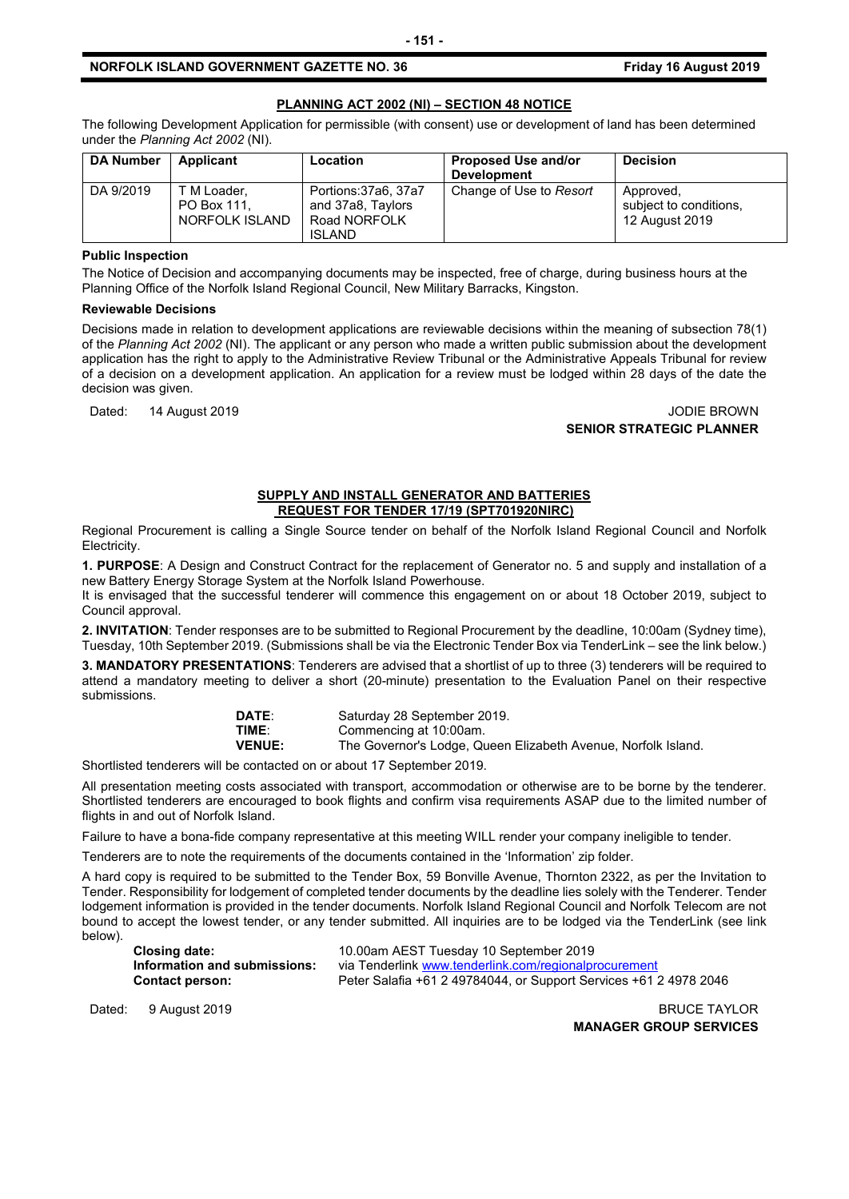## **PLANNING ACT 2002 (NI) – SECTION 48 NOTICE**

The following Development Application for permissible (with consent) use or development of land has been determined under the *Planning Act 2002* (NI).

| <b>DA Number</b> | Applicant                                    | <b>Location</b>                                                            | <b>Proposed Use and/or</b><br><b>Development</b> | <b>Decision</b>                                       |
|------------------|----------------------------------------------|----------------------------------------------------------------------------|--------------------------------------------------|-------------------------------------------------------|
| DA 9/2019        | T M Loader.<br>PO Box 111.<br>NORFOLK ISLAND | Portions: 37a6, 37a7<br>and 37a8, Taylors<br>Road NORFOLK<br><b>ISLAND</b> | Change of Use to Resort                          | Approved,<br>subject to conditions.<br>12 August 2019 |

## **Public Inspection**

The Notice of Decision and accompanying documents may be inspected, free of charge, during business hours at the Planning Office of the Norfolk Island Regional Council, New Military Barracks, Kingston.

#### **Reviewable Decisions**

Decisions made in relation to development applications are reviewable decisions within the meaning of subsection 78(1) of the *Planning Act 2002* (NI). The applicant or any person who made a written public submission about the development application has the right to apply to the Administrative Review Tribunal or the Administrative Appeals Tribunal for review of a decision on a development application. An application for a review must be lodged within 28 days of the date the decision was given.

Dated: 14 August 2019 JODIE BROWN **SENIOR STRATEGIC PLANNER**

#### **SUPPLY AND INSTALL GENERATOR AND BATTERIES REQUEST FOR TENDER 17/19 (SPT701920NIRC)**

Regional Procurement is calling a Single Source tender on behalf of the Norfolk Island Regional Council and Norfolk Electricity.

**1. PURPOSE**: A Design and Construct Contract for the replacement of Generator no. 5 and supply and installation of a new Battery Energy Storage System at the Norfolk Island Powerhouse.

It is envisaged that the successful tenderer will commence this engagement on or about 18 October 2019, subject to Council approval.

**2. INVITATION**: Tender responses are to be submitted to Regional Procurement by the deadline, 10:00am (Sydney time), Tuesday, 10th September 2019. (Submissions shall be via the Electronic Tender Box via TenderLink – see the link below.)

**3. MANDATORY PRESENTATIONS**: Tenderers are advised that a shortlist of up to three (3) tenderers will be required to attend a mandatory meeting to deliver a short (20-minute) presentation to the Evaluation Panel on their respective submissions.

| <b>DATE:</b>  | Saturday 28 September 2019.                                   |
|---------------|---------------------------------------------------------------|
| TIME:         | Commencing at 10:00am.                                        |
| <b>VENUE:</b> | The Governor's Lodge, Queen Elizabeth Avenue, Norfolk Island. |

Shortlisted tenderers will be contacted on or about 17 September 2019.

All presentation meeting costs associated with transport, accommodation or otherwise are to be borne by the tenderer. Shortlisted tenderers are encouraged to book flights and confirm visa requirements ASAP due to the limited number of flights in and out of Norfolk Island.

Failure to have a bona-fide company representative at this meeting WILL render your company ineligible to tender.

Tenderers are to note the requirements of the documents contained in the 'Information' zip folder.

A hard copy is required to be submitted to the Tender Box, 59 Bonville Avenue, Thornton 2322, as per the Invitation to Tender. Responsibility for lodgement of completed tender documents by the deadline lies solely with the Tenderer. Tender lodgement information is provided in the tender documents. Norfolk Island Regional Council and Norfolk Telecom are not bound to accept the lowest tender, or any tender submitted. All inquiries are to be lodged via the TenderLink (see link below).

| <b>Closing date:</b>         | 10.00am AEST Tuesday 10 September 2019                            |
|------------------------------|-------------------------------------------------------------------|
| Information and submissions: | via Tenderlink www.tenderlink.com/regionalprocurement             |
| <b>Contact person:</b>       | Peter Salafia +61 2 49784044, or Support Services +61 2 4978 2046 |

Dated: 9 August 2019 BRUCE TAYLOR **MANAGER GROUP SERVICES**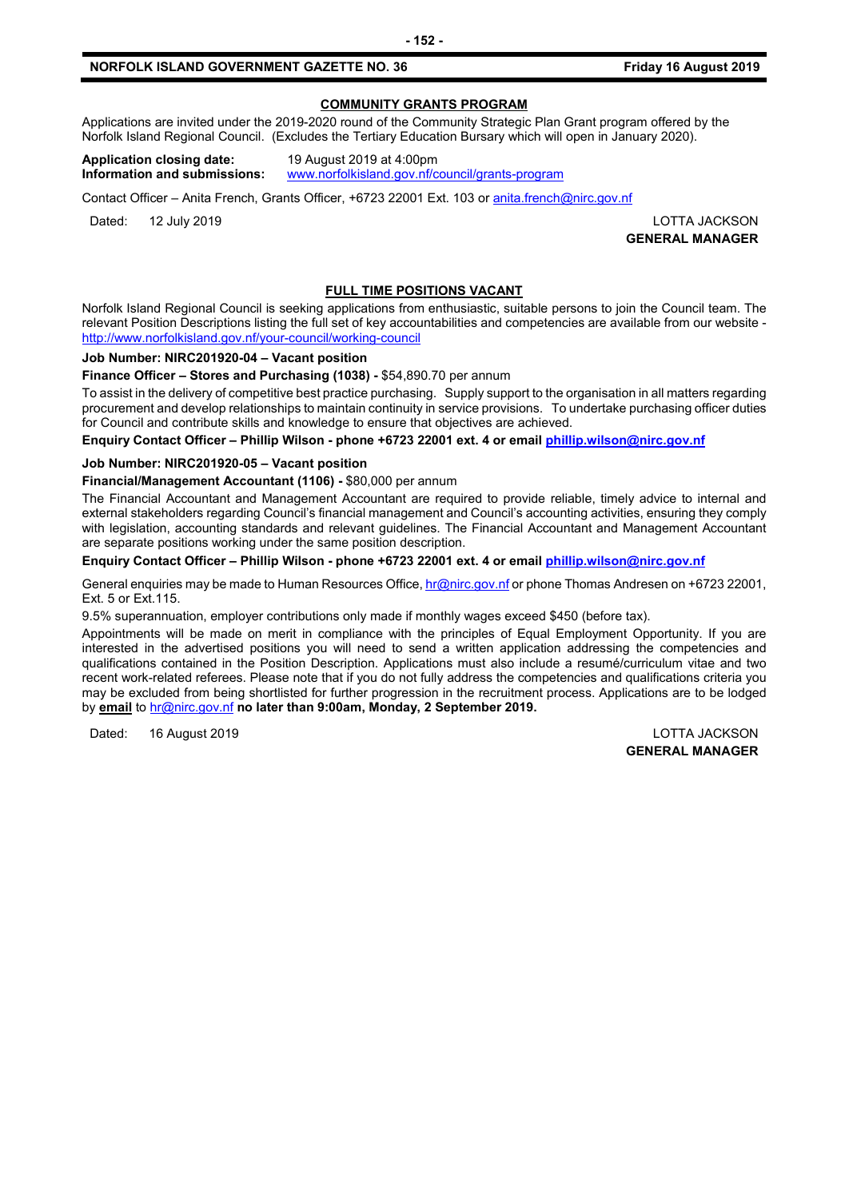## **COMMUNITY GRANTS PROGRAM**

Applications are invited under the 2019-2020 round of the Community Strategic Plan Grant program offered by the Norfolk Island Regional Council. (Excludes the Tertiary Education Bursary which will open in January 2020).

**Application closing date:** 19 August 2019 at 4:00pm **Information and submissions:** [www.norfolkisland.gov.nf/council/grants-program](http://www.norfolkisland.gov.nf/council/grants-program)

Contact Officer – Anita French, Grants Officer, +6723 22001 Ext. 103 or [anita.french@nirc.gov.nf](mailto:anita.french@nirc.gov.nf)

Dated: 12 July 2019 LOTTA JACKSON

**GENERAL MANAGER**

## **FULL TIME POSITIONS VACANT**

Norfolk Island Regional Council is seeking applications from enthusiastic, suitable persons to join the Council team. The relevant Position Descriptions listing the full set of key accountabilities and competencies are available from our website <http://www.norfolkisland.gov.nf/your-council/working-council>

#### **Job Number: NIRC201920-04 – Vacant position**

**Finance Officer – Stores and Purchasing (1038) -** \$54,890.70 per annum

To assist in the delivery of competitive best practice purchasing. Supply support to the organisation in all matters regarding procurement and develop relationships to maintain continuity in service provisions. To undertake purchasing officer duties for Council and contribute skills and knowledge to ensure that objectives are achieved.

**Enquiry Contact Officer – Phillip Wilson - phone +6723 22001 ext. 4 or email [phillip.wilson@nirc.gov.nf](mailto:phillip.wilson@nirc.gov.nf)**

#### **Job Number: NIRC201920-05 – Vacant position**

**Financial/Management Accountant (1106) -** \$80,000 per annum

The Financial Accountant and Management Accountant are required to provide reliable, timely advice to internal and external stakeholders regarding Council's financial management and Council's accounting activities, ensuring they comply with legislation, accounting standards and relevant guidelines. The Financial Accountant and Management Accountant are separate positions working under the same position description.

**Enquiry Contact Officer – Phillip Wilson - phone +6723 22001 ext. 4 or email [phillip.wilson@nirc.gov.nf](mailto:phillip.wilson@nirc.gov.nf)**

General enquiries may be made to Human Resources Office[, hr@nirc.gov.nf](mailto:hr@nirc.gov.nf) or phone Thomas Andresen on +6723 22001, Ext. 5 or Ext.115.

9.5% superannuation, employer contributions only made if monthly wages exceed \$450 (before tax).

Appointments will be made on merit in compliance with the principles of Equal Employment Opportunity. If you are interested in the advertised positions you will need to send a written application addressing the competencies and qualifications contained in the Position Description. Applications must also include a resumé/curriculum vitae and two recent work-related referees. Please note that if you do not fully address the competencies and qualifications criteria you may be excluded from being shortlisted for further progression in the recruitment process. Applications are to be lodged by **email** to [hr@nirc.gov.nf](mailto:hr@nirc.gov.nf) **no later than 9:00am, Monday, 2 September 2019.** 

Dated: 16 August 2019 LOTTA JACKSON

**GENERAL MANAGER**